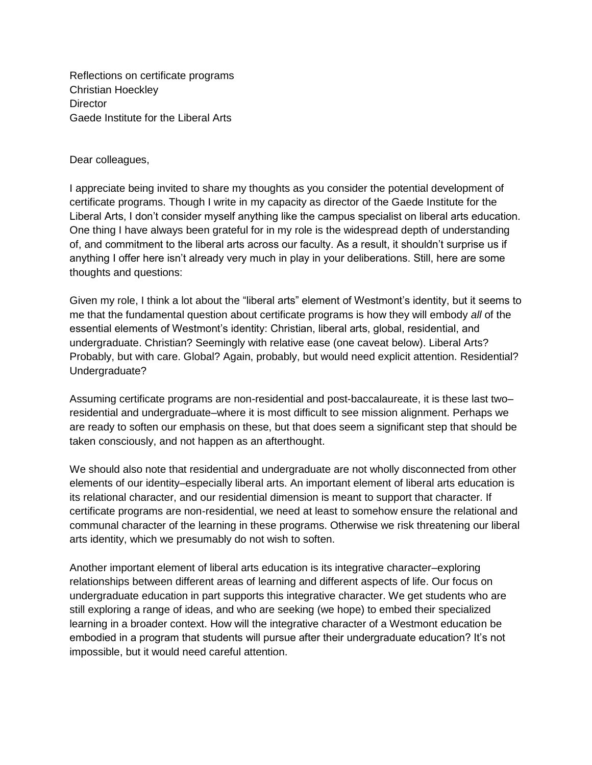Reflections on certificate programs Christian Hoeckley **Director** Gaede Institute for the Liberal Arts

Dear colleagues,

I appreciate being invited to share my thoughts as you consider the potential development of certificate programs. Though I write in my capacity as director of the Gaede Institute for the Liberal Arts, I don't consider myself anything like the campus specialist on liberal arts education. One thing I have always been grateful for in my role is the widespread depth of understanding of, and commitment to the liberal arts across our faculty. As a result, it shouldn't surprise us if anything I offer here isn't already very much in play in your deliberations. Still, here are some thoughts and questions:

Given my role, I think a lot about the "liberal arts" element of Westmont's identity, but it seems to me that the fundamental question about certificate programs is how they will embody *all* of the essential elements of Westmont's identity: Christian, liberal arts, global, residential, and undergraduate. Christian? Seemingly with relative ease (one caveat below). Liberal Arts? Probably, but with care. Global? Again, probably, but would need explicit attention. Residential? Undergraduate?

Assuming certificate programs are non-residential and post-baccalaureate, it is these last two– residential and undergraduate–where it is most difficult to see mission alignment. Perhaps we are ready to soften our emphasis on these, but that does seem a significant step that should be taken consciously, and not happen as an afterthought.

We should also note that residential and undergraduate are not wholly disconnected from other elements of our identity–especially liberal arts. An important element of liberal arts education is its relational character, and our residential dimension is meant to support that character. If certificate programs are non-residential, we need at least to somehow ensure the relational and communal character of the learning in these programs. Otherwise we risk threatening our liberal arts identity, which we presumably do not wish to soften.

Another important element of liberal arts education is its integrative character–exploring relationships between different areas of learning and different aspects of life. Our focus on undergraduate education in part supports this integrative character. We get students who are still exploring a range of ideas, and who are seeking (we hope) to embed their specialized learning in a broader context. How will the integrative character of a Westmont education be embodied in a program that students will pursue after their undergraduate education? It's not impossible, but it would need careful attention.